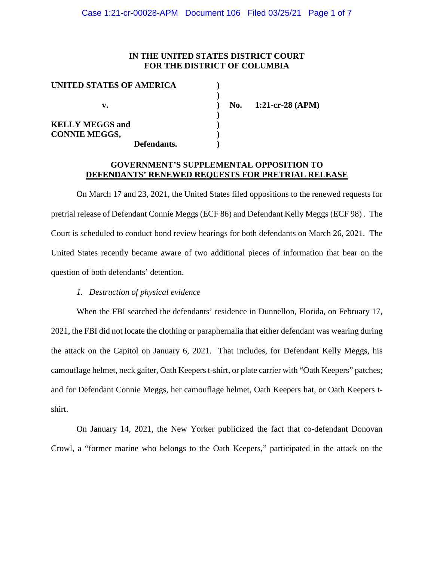## **IN THE UNITED STATES DISTRICT COURT FOR THE DISTRICT OF COLUMBIA**

| UNITED STATES OF AMERICA |             |
|--------------------------|-------------|
|                          |             |
| v.                       |             |
|                          |             |
| <b>KELLY MEGGS and</b>   |             |
| <b>CONNIE MEGGS,</b>     |             |
|                          | Defendants. |

**v. ) No. 1:21-cr-28 (APM)**

## **GOVERNMENT'S SUPPLEMENTAL OPPOSITION TO DEFENDANTS' RENEWED REQUESTS FOR PRETRIAL RELEASE**

On March 17 and 23, 2021, the United States filed oppositions to the renewed requests for pretrial release of Defendant Connie Meggs (ECF 86) and Defendant Kelly Meggs (ECF 98) . The Court is scheduled to conduct bond review hearings for both defendants on March 26, 2021. The United States recently became aware of two additional pieces of information that bear on the question of both defendants' detention.

### *1. Destruction of physical evidence*

When the FBI searched the defendants' residence in Dunnellon, Florida, on February 17, 2021, the FBI did not locate the clothing or paraphernalia that either defendant was wearing during the attack on the Capitol on January 6, 2021. That includes, for Defendant Kelly Meggs, his camouflage helmet, neck gaiter, Oath Keepers t-shirt, or plate carrier with "Oath Keepers" patches; and for Defendant Connie Meggs, her camouflage helmet, Oath Keepers hat, or Oath Keepers tshirt.

On January 14, 2021, the New Yorker publicized the fact that co-defendant Donovan Crowl, a "former marine who belongs to the Oath Keepers," participated in the attack on the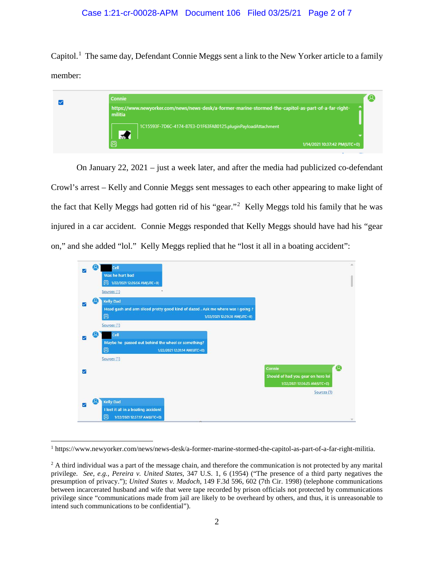Capitol.<sup>1</sup> The same day, Defendant Connie Meggs sent a link to the New Yorker article to a family member:

|  | <b>Connie</b><br>https://www.newyorker.com/news/news-desk/a-former-marine-stormed-the-capitol-as-part-of-a-far-right-<br>militia |  |
|--|----------------------------------------------------------------------------------------------------------------------------------|--|
|  |                                                                                                                                  |  |
|  | 1C15593F-7D6C-4174-87E3-D1F63FA80125.pluginPayloadAttachment                                                                     |  |
|  | 婴<br>1/14/2021 10:37:42 PM(UTC+0)                                                                                                |  |

On January 22, 2021 – just a week later, and after the media had publicized co-defendant Crowl's arrest – Kelly and Connie Meggs sent messages to each other appearing to make light of the fact that Kelly Meggs had gotten rid of his "gear."<sup>2</sup> Kelly Meggs told his family that he was injured in a car accident. Connie Meggs responded that Kelly Meggs should have had his "gear on," and she added "lol." Kelly Meggs replied that he "lost it all in a boating accident":



 <sup>1</sup> https://www.newyorker.com/news/news-desk/a-former-marine-stormed-the-capitol-as-part-of-a-far-right-militia.

 $2$  A third individual was a part of the message chain, and therefore the communication is not protected by any marital privilege. *See, e.g., Pereira v. United States*, 347 U.S. 1, 6 (1954) ("The presence of a third party negatives the presumption of privacy."); *United States v. Madoch*, 149 F.3d 596, 602 (7th Cir. 1998) (telephone communications between incarcerated husband and wife that were tape recorded by prison officials not protected by communications privilege since "communications made from jail are likely to be overheard by others, and thus, it is unreasonable to intend such communications to be confidential").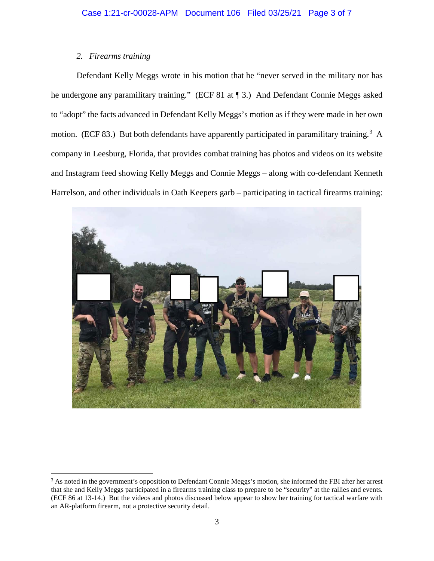# *2. Firearms training*

Defendant Kelly Meggs wrote in his motion that he "never served in the military nor has he undergone any paramilitary training." (ECF 81 at ¶ 3.) And Defendant Connie Meggs asked to "adopt" the facts advanced in Defendant Kelly Meggs's motion as if they were made in her own motion. (ECF 83.) But both defendants have apparently participated in paramilitary training.<sup>3</sup> A company in Leesburg, Florida, that provides combat training has photos and videos on its website and Instagram feed showing Kelly Meggs and Connie Meggs – along with co-defendant Kenneth Harrelson, and other individuals in Oath Keepers garb – participating in tactical firearms training:



<sup>&</sup>lt;sup>3</sup> As noted in the government's opposition to Defendant Connie Meggs's motion, she informed the FBI after her arrest that she and Kelly Meggs participated in a firearms training class to prepare to be "security" at the rallies and events. (ECF 86 at 13-14.) But the videos and photos discussed below appear to show her training for tactical warfare with an AR-platform firearm, not a protective security detail.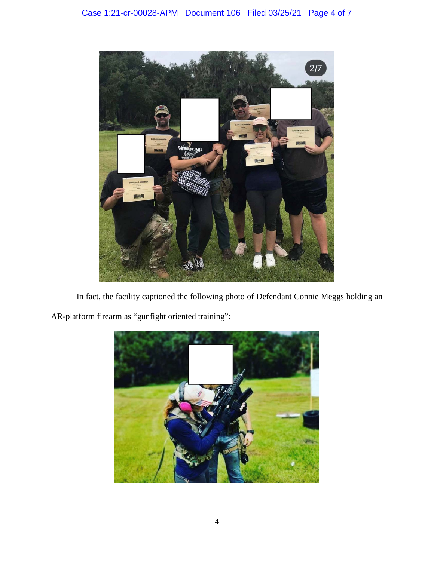

In fact, the facility captioned the following photo of Defendant Connie Meggs holding an AR-platform firearm as "gunfight oriented training":

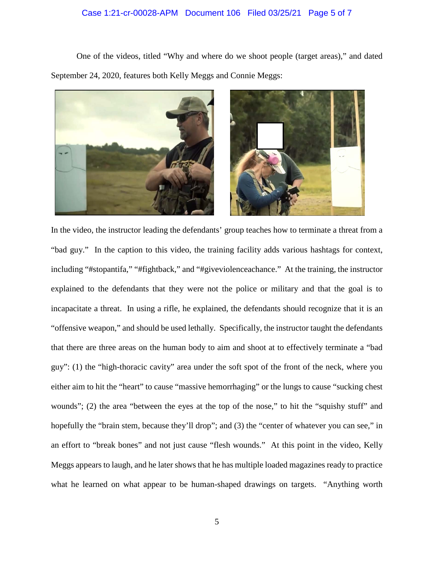## Case 1:21-cr-00028-APM Document 106 Filed 03/25/21 Page 5 of 7

One of the videos, titled "Why and where do we shoot people (target areas)," and dated September 24, 2020, features both Kelly Meggs and Connie Meggs:



In the video, the instructor leading the defendants' group teaches how to terminate a threat from a "bad guy." In the caption to this video, the training facility adds various hashtags for context, including "#stopantifa," "#fightback," and "#giveviolenceachance." At the training, the instructor explained to the defendants that they were not the police or military and that the goal is to incapacitate a threat. In using a rifle, he explained, the defendants should recognize that it is an "offensive weapon," and should be used lethally. Specifically, the instructor taught the defendants that there are three areas on the human body to aim and shoot at to effectively terminate a "bad guy": (1) the "high-thoracic cavity" area under the soft spot of the front of the neck, where you either aim to hit the "heart" to cause "massive hemorrhaging" or the lungs to cause "sucking chest wounds"; (2) the area "between the eyes at the top of the nose," to hit the "squishy stuff" and hopefully the "brain stem, because they'll drop"; and (3) the "center of whatever you can see," in an effort to "break bones" and not just cause "flesh wounds." At this point in the video, Kelly Meggs appears to laugh, and he later shows that he has multiple loaded magazines ready to practice what he learned on what appear to be human-shaped drawings on targets. "Anything worth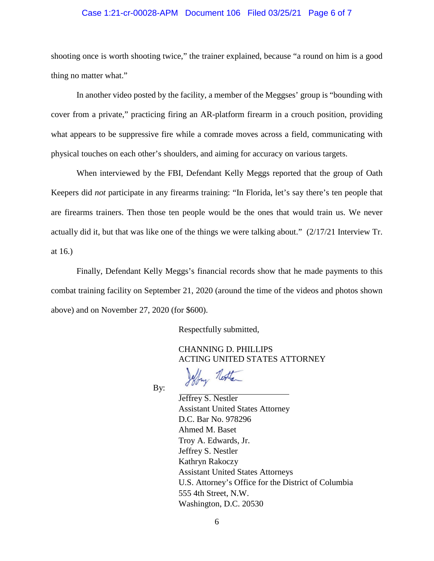### Case 1:21-cr-00028-APM Document 106 Filed 03/25/21 Page 6 of 7

shooting once is worth shooting twice," the trainer explained, because "a round on him is a good thing no matter what."

In another video posted by the facility, a member of the Meggses' group is "bounding with cover from a private," practicing firing an AR-platform firearm in a crouch position, providing what appears to be suppressive fire while a comrade moves across a field, communicating with physical touches on each other's shoulders, and aiming for accuracy on various targets.

When interviewed by the FBI, Defendant Kelly Meggs reported that the group of Oath Keepers did *not* participate in any firearms training: "In Florida, let's say there's ten people that are firearms trainers. Then those ten people would be the ones that would train us. We never actually did it, but that was like one of the things we were talking about." (2/17/21 Interview Tr. at 16.)

Finally, Defendant Kelly Meggs's financial records show that he made payments to this combat training facility on September 21, 2020 (around the time of the videos and photos shown above) and on November 27, 2020 (for \$600).

Respectfully submitted,

CHANNING D. PHILLIPS ACTING UNITED STATES ATTORNEY

Hay Nexter

By:

Jeffrey S. Nestler Assistant United States Attorney D.C. Bar No. 978296 Ahmed M. Baset Troy A. Edwards, Jr. Jeffrey S. Nestler Kathryn Rakoczy Assistant United States Attorneys U.S. Attorney's Office for the District of Columbia 555 4th Street, N.W. Washington, D.C. 20530